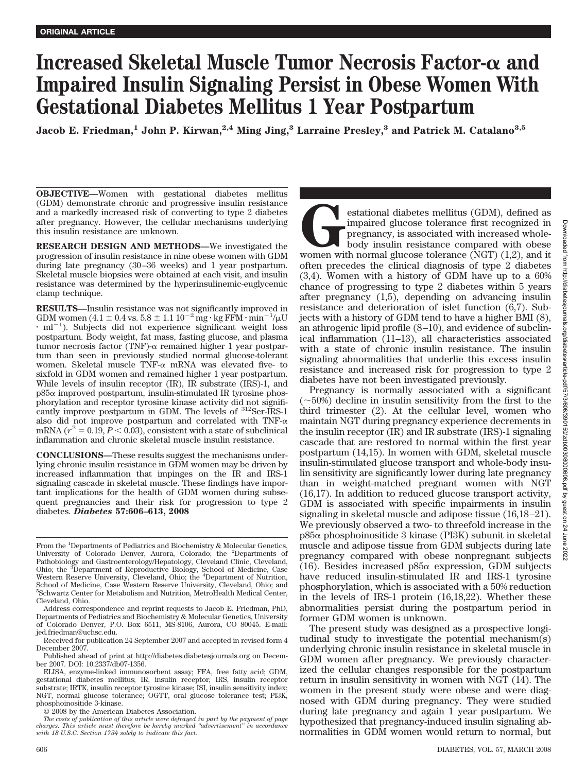# **Increased Skeletal Muscle Tumor Necrosis Factor-** α and **Impaired Insulin Signaling Persist in Obese Women With Gestational Diabetes Mellitus 1 Year Postpartum**

**Jacob E. Friedman,**<sup>1</sup> **John P. Kirwan,**<sup>2,4</sup> **Ming Jing,**<sup>3</sup> **Larraine Presley,**<sup>3</sup> and Patrick M. Catalano<sup>3,5</sup>

**OBJECTIVE—**Women with gestational diabetes mellitus (GDM) demonstrate chronic and progressive insulin resistance and a markedly increased risk of converting to type 2 diabetes after pregnancy. However, the cellular mechanisms underlying this insulin resistance are unknown.

**RESEARCH DESIGN AND METHODS—**We investigated the progression of insulin resistance in nine obese women with GDM during late pregnancy (30–36 weeks) and 1 year postpartum. Skeletal muscle biopsies were obtained at each visit, and insulin resistance was determined by the hyperinsulinemic-euglycemic clamp technique.

**RESULTS—**Insulin resistance was not significantly improved in GDM women  $(4.1 \pm 0.4 \text{ vs. } 5.8 \pm 1.1 \text{ 10}^{-2} \text{ mg} \cdot \text{kg FFM} \cdot \text{min}^{-1}/\mu\text{U}$  $\cdot$  ml<sup>-1</sup>). Subjects did not experience significant weight loss postpartum. Body weight, fat mass, fasting glucose, and plasma tumor necrosis factor (TNF)- $\alpha$  remained higher 1 year postpartum than seen in previously studied normal glucose-tolerant women. Skeletal muscle TNF- $\alpha$  mRNA was elevated five- to sixfold in GDM women and remained higher 1 year postpartum. While levels of insulin receptor (IR), IR substrate (IRS)-1, and  $p85\alpha$  improved postpartum, insulin-stimulated IR tyrosine phosphorylation and receptor tyrosine kinase activity did not significantly improve postpartum in GDM. The levels of 312Ser-IRS-1 also did not improve postpartum and correlated with  $TNF-\alpha$ mRNA ( $r^2 = 0.19$ ,  $P < 0.03$ ), consistent with a state of subclinical inflammation and chronic skeletal muscle insulin resistance.

**CONCLUSIONS—**These results suggest the mechanisms underlying chronic insulin resistance in GDM women may be driven by increased inflammation that impinges on the IR and IRS-1 signaling cascade in skeletal muscle. These findings have important implications for the health of GDM women during subsequent pregnancies and their risk for progression to type 2 diabetes. *Diabetes* **57:606–613, 2008**

estational diabetes mellitus (GDM), defined as<br>impaired glucose tolerance first recognized in<br>pregnancy, is associated with increased whole-<br>body insulin resistance compared with obese<br>women with normal glucose tolerance ( impaired glucose tolerance first recognized in pregnancy, is associated with increased wholebody insulin resistance compared with obese women with normal glucose tolerance (NGT) (1,2), and it often precedes the clinical diagnosis of type 2 diabetes (3,4). Women with a history of GDM have up to a 60% chance of progressing to type 2 diabetes within 5 years after pregnancy (1,5), depending on advancing insulin resistance and deterioration of islet function (6,7). Subjects with a history of GDM tend to have a higher BMI (8), an athrogenic lipid profile (8–10), and evidence of subclinical inflammation (11–13), all characteristics associated with a state of chronic insulin resistance. The insulin signaling abnormalities that underlie this excess insulin resistance and increased risk for progression to type 2 diabetes have not been investigated previously.

Pregnancy is normally associated with a significant  $(\sim 50\%)$  decline in insulin sensitivity from the first to the third trimester (2). At the cellular level, women who maintain NGT during pregnancy experience decrements in the insulin receptor (IR) and IR substrate (IRS)-1 signaling cascade that are restored to normal within the first year postpartum (14,15). In women with GDM, skeletal muscle insulin-stimulated glucose transport and whole-body insulin sensitivity are significantly lower during late pregnancy than in weight-matched pregnant women with NGT (16,17). In addition to reduced glucose transport activity, GDM is associated with specific impairments in insulin signaling in skeletal muscle and adipose tissue (16,18–21). We previously observed a two- to threefold increase in the  $p85\alpha$  phosphoinositide 3 kinase (PI3K) subunit in skeletal muscle and adipose tissue from GDM subjects during late pregnancy compared with obese nonpregnant subjects (16). Besides increased  $p85\alpha$  expression, GDM subjects have reduced insulin-stimulated IR and IRS-1 tyrosine phosphorylation, which is associated with a 50% reduction in the levels of IRS-1 protein (16,18,22). Whether these abnormalities persist during the postpartum period in former GDM women is unknown.

The present study was designed as a prospective longitudinal study to investigate the potential mechanism(s) underlying chronic insulin resistance in skeletal muscle in GDM women after pregnancy. We previously characterized the cellular changes responsible for the postpartum return in insulin sensitivity in women with NGT (14). The women in the present study were obese and were diagnosed with GDM during pregnancy. They were studied during late pregnancy and again 1 year postpartum. We hypothesized that pregnancy-induced insulin signaling abnormalities in GDM women would return to normal, but

From the <sup>1</sup>Departments of Pediatrics and Biochemistry & Molecular Genetics, University of Colorado Denver, Aurora, Colorado; the <sup>2</sup>Departments of Pathobiology and Gastroenterology/Hepatology, Cleveland Clinic, Cleveland, Ohio; the <sup>3</sup>Department of Reproductive Biology, School of Medicine, Case Western Reserve University, Cleveland, Ohio; the <sup>4</sup>Department of Nutrition, School of Medicine, Case Western Reserve University, Cleveland, Ohio; and 5 Schwartz Center for Metabolism and Nutrition, MetroHealth Medical Center, Cleveland, Ohio.

Address correspondence and reprint requests to Jacob E. Friedman, PhD, Departments of Pediatrics and Biochemistry & Molecular Genetics, University of Colorado Denver, P.O. Box 6511, MS-8106, Aurora, CO 80045. E-mail: jed.friedman@uchsc.edu.

Received for publication 24 September 2007 and accepted in revised form 4 December 2007.

Published ahead of print at http://diabetes.diabetesjournals.org on December 2007. DOI: 10.2337/db07-1356.

ELISA, enzyme-linked immunosorbent assay; FFA, free fatty acid; GDM, gestational diabetes mellitus; IR, insulin receptor; IRS, insulin receptor substrate; IRTK, insulin receptor tyrosine kinase; ISI, insulin sensitivity index; NGT, normal glucose tolerance; OGTT, oral glucose tolerance test; PI3K, phosphoinositide 3-kinase.

<sup>© 2008</sup> by the American Diabetes Association.

*The costs of publication of this article were defrayed in part by the payment of page charges. This article must therefore be hereby marked "advertisement" in accordance with 18 U.S.C. Section 1734 solely to indicate this fact.*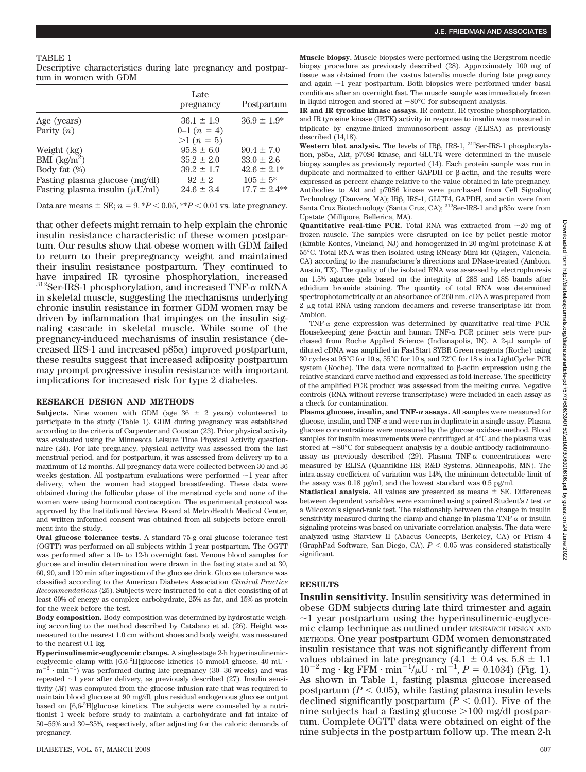#### TABLE 1

Descriptive characteristics during late pregnancy and postpartum in women with GDM

|                                     | Late<br>pregnancy | Postpartum      |
|-------------------------------------|-------------------|-----------------|
| Age (years)                         | $36.1 \pm 1.9$    | $36.9 \pm 1.9*$ |
| Parity $(n)$                        | $0-1(n=4)$        |                 |
|                                     | $>1 (n = 5)$      |                 |
| Weight (kg)                         | $95.8 \pm 6.0$    | $90.4 \pm 7.0$  |
| BMI $\frac{\text{kg}}{\text{m}^2}$  | $35.2 \pm 2.0$    | $33.0 \pm 2.6$  |
| Body fat $(\%)$                     | $39.2 \pm 1.7$    | $42.6 \pm 2.1*$ |
| Fasting plasma glucose (mg/dl)      | $92 + 2$          | $105 \pm 5^*$   |
| Fasting plasma insulin $(\mu U/ml)$ | $24.6 \pm 3.4$    | $17.7 + 2.4**$  |

Data are means  $\pm$  SE;  $n = 9$ . \* $P < 0.05$ , \*\* $P < 0.01$  vs. late pregnancy.

that other defects might remain to help explain the chronic insulin resistance characteristic of these women postpartum. Our results show that obese women with GDM failed to return to their prepregnancy weight and maintained their insulin resistance postpartum. They continued to have impaired IR tyrosine phosphorylation, increased  $^{312}$ Ser-IRS-1 phosphorylation, and increased TNF- $\alpha$  mRNA in skeletal muscle, suggesting the mechanisms underlying chronic insulin resistance in former GDM women may be driven by inflammation that impinges on the insulin signaling cascade in skeletal muscle. While some of the pregnancy-induced mechanisms of insulin resistance (decreased IRS-1 and increased  $p85\alpha$ ) improved postpartum, these results suggest that increased adiposity postpartum may prompt progressive insulin resistance with important implications for increased risk for type 2 diabetes.

## **RESEARCH DESIGN AND METHODS**

**Subjects.** Nine women with GDM (age  $36 \pm 2$  years) volunteered to participate in the study (Table 1). GDM during pregnancy was established according to the criteria of Carpenter and Coustan (23). Prior physical activity was evaluated using the Minnesota Leisure Time Physical Activity questionnaire (24). For late pregnancy, physical activity was assessed from the last menstrual period, and for postpartum, it was assessed from delivery up to a maximum of 12 months. All pregnancy data were collected between 30 and 36 weeks gestation. All postpartum evaluations were performed  $\sim$ 1 year after delivery, when the women had stopped breastfeeding. These data were obtained during the follicular phase of the menstrual cycle and none of the women were using hormonal contraception. The experimental protocol was approved by the Institutional Review Board at MetroHealth Medical Center, and written informed consent was obtained from all subjects before enrollment into the study.

**Oral glucose tolerance tests.** A standard 75-g oral glucose tolerance test (OGTT) was performed on all subjects within 1 year postpartum. The OGTT was performed after a 10- to 12-h overnight fast. Venous blood samples for glucose and insulin determination were drawn in the fasting state and at 30, 60, 90, and 120 min after ingestion of the glucose drink. Glucose tolerance was classified according to the American Diabetes Association *Clinical Practice Recommendations* (25). Subjects were instructed to eat a diet consisting of at least 60% of energy as complex carbohydrate, 25% as fat, and 15% as protein for the week before the test.

**Body composition.** Body composition was determined by hydrostatic weighing according to the method described by Catalano et al. (26). Height was measured to the nearest 1.0 cm without shoes and body weight was measured to the nearest 0.1 kg.

**Hyperinsulinemic-euglycemic clamps.** A single-stage 2-h hyperinsulinemiceuglycemic clamp with  $[6,6-^{2}H]$ glucose kinetics (5 mmol/l glucose, 40 mU ·  $m^{-2} \cdot min^{-1}$  was performed during late pregnancy (30–36 weeks) and was repeated  $\sim$ 1 year after delivery, as previously described (27). Insulin sensitivity (*M*) was computed from the glucose infusion rate that was required to maintain blood glucose at 90 mg/dl, plus residual endogenous glucose output based on [6,6-<sup>2</sup> H]glucose kinetics. The subjects were counseled by a nutritionist 1 week before study to maintain a carbohydrate and fat intake of 50–55% and 30–35%, respectively, after adjusting for the caloric demands of pregnancy.

**Muscle biopsy.** Muscle biopsies were performed using the Bergstrom needle biopsy procedure as previously described (28). Approximately 100 mg of tissue was obtained from the vastus lateralis muscle during late pregnancy and again  $\sim$ 1 year postpartum. Both biopsies were performed under basal conditions after an overnight fast. The muscle sample was immediately frozen in liquid nitrogen and stored at  $-80^{\circ}$ C for subsequent analysis.

**IR and IR tyrosine kinase assays.** IR content, IR tyrosine phosphorylation, and IR tyrosine kinase (IRTK) activity in response to insulin was measured in triplicate by enzyme-linked immunosorbent assay (ELISA) as previously described (14,18).

Western blot analysis. The levels of IR<sub>B</sub>, IRS-1, <sup>312</sup>Ser-IRS-1 phosphorylation,  $p85\alpha$ , Akt,  $p70S6$  kinase, and GLUT4 were determined in the muscle biopsy samples as previously reported (14). Each protein sample was run in duplicate and normalized to either GAPDH or  $\beta$ -actin, and the results were expressed as percent change relative to the value obtained in late pregnancy. Antibodies to Akt and p70S6 kinase were purchased from Cell Signaling Technology (Danvers, MA); IRß, IRS-1, GLUT4, GAPDH, and actin were from Santa Cruz Biotechnology (Santa Cruz, CA);  ${}^{312}$ Ser-IRS-1 and p85 $\alpha$  were from Upstate (Millipore, Bellerica, MA).

**Quantitative real-time PCR.** Total RNA was extracted from  $\sim$ 20 mg of frozen muscle. The samples were disrupted on ice by pellet pestle motor (Kimble Kontes, Vineland, NJ) and homogenized in 20 mg/ml proteinase K at 55°C. Total RNA was then isolated using RNeasy Mini kit (Qiagen, Valencia, CA) according to the manufacturer's directions and DNase-treated (Ambion, Austin, TX). The quality of the isolated RNA was assessed by electrophoresis on 1.5% agarose gels based on the integrity of 28S and 18S bands after ethidium bromide staining. The quantity of total RNA was determined spectrophotometrically at an absorbance of 260 nm. cDNA was prepared from 2 µg total RNA using random decamers and reverse transcriptase kit from Ambion.

TNF- $\alpha$  gene expression was determined by quantitative real-time PCR. Housekeeping gene  $\beta$ -actin and human TNF- $\alpha$  PCR primer sets were purchased from Roche Applied Science (Indianapolis, IN). A 2-µl sample of diluted cDNA was amplified in FastStart SYBR Green reagents (Roche) using 30 cycles at 95°C for 10 s, 55°C for 10 s, and 72°C for 18 s in a LightCycler PCR system (Roche). The data were normalized to  $\beta$ -actin expression using the relative standard curve method and expressed as fold-increase. The specificity of the amplified PCR product was assessed from the melting curve. Negative controls (RNA without reverse transcriptase) were included in each assay as a check for contamination.

Plasma glucose, insulin, and TNF- $\alpha$  assays. All samples were measured for glucose, insulin, and TNF- $\alpha$  and were run in duplicate in a single assay. Plasma glucose concentrations were measured by the glucose oxidase method. Blood samples for insulin measurements were centrifuged at 4°C and the plasma was stored at  $-80^{\circ}$ C for subsequent analysis by a double-antibody radioimmunoassay as previously described  $(29)$ . Plasma TNF- $\alpha$  concentrations were measured by ELISA (Quantikine HS; R&D Systems, Minneapolis, MN). The intra-assay coefficient of variation was 14%, the minimum detectable limit of the assay was 0.18 pg/ml, and the lowest standard was 0.5 pg/ml.

**Statistical analysis.** All values are presented as means  $\pm$  SE. Differences between dependent variables were examined using a paired Student's *t* test or a Wilcoxon's signed-rank test. The relationship between the change in insulin sensitivity measured during the clamp and change in plasma TNF- $\alpha$  or insulin signaling proteins was based on univariate correlation analysis. The data were analyzed using Statview II (Abacus Concepts, Berkeley, CA) or Prism 4 (GraphPad Software, San Diego, CA).  $P < 0.05$  was considered statistically significant.

#### **RESULTS**

**Insulin sensitivity.** Insulin sensitivity was determined in obese GDM subjects during late third trimester and again  $\sim$ 1 year postpartum using the hyperinsulinemic-euglycemic clamp technique as outlined under RESEARCH DESIGN AND METHODS. One year postpartum GDM women demonstrated insulin resistance that was not significantly different from values obtained in late pregnancy  $(4.1 \pm 0.4 \text{ vs. } 5.8 \pm 1.1$  $10^{-2}$  mg · kg FFM · min<sup>-1</sup>/ $\mu$ U · ml<sup>-1</sup>, *P* = 0.1034) (Fig. 1). As shown in Table 1, fasting plasma glucose increased postpartum  $(P < 0.05)$ , while fasting plasma insulin levels declined significantly postpartum  $(P < 0.01)$ . Five of the nine subjects had a fasting glucose  $>100$  mg/dl postpartum. Complete OGTT data were obtained on eight of the nine subjects in the postpartum follow up. The mean 2-h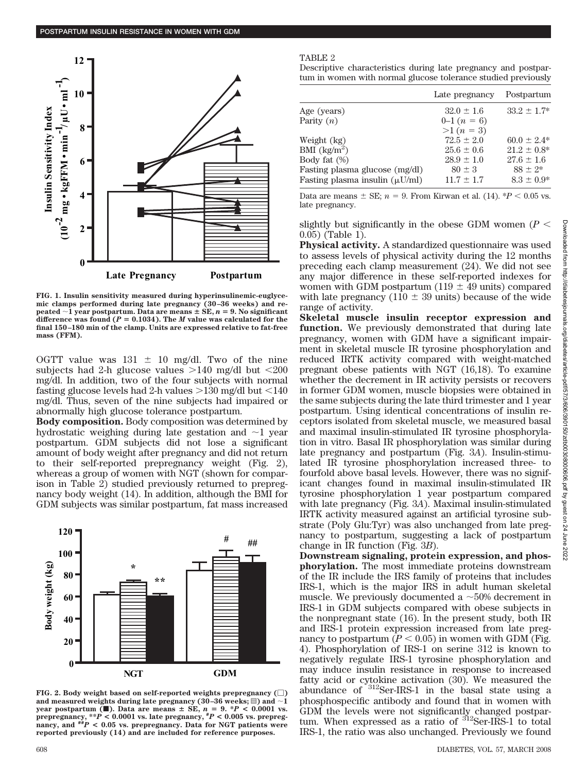

**FIG. 1. Insulin sensitivity measured during hyperinsulinemic-euglycemic clamps performed during late pregnancy (30–36 weeks) and re-** $\text{pected } \sim 1 \text{ year postpartum.}$  Data are means  $\pm \text{ SE}, n = 9$ . No significant difference was found  $(P = 0.1034)$ . The *M* value was calculated for the **final 150–180 min of the clamp. Units are expressed relative to fat-free mass (FFM).**

OGTT value was  $131 \pm 10$  mg/dl. Two of the nine subjects had 2-h glucose values  $>140$  mg/dl but  $<200$ mg/dl. In addition, two of the four subjects with normal fasting glucose levels had 2-h values  $>130$  mg/dl but  $<140$ mg/dl. Thus, seven of the nine subjects had impaired or abnormally high glucose tolerance postpartum.

**Body composition.** Body composition was determined by hydrostatic weighing during late gestation and  $\sim$ 1 year postpartum. GDM subjects did not lose a significant amount of body weight after pregnancy and did not return to their self-reported prepregnancy weight (Fig. 2), whereas a group of women with NGT (shown for comparison in Table 2) studied previously returned to prepregnancy body weight (14). In addition, although the BMI for GDM subjects was similar postpartum, fat mass increased



FIG. 2. Body weight based on self-reported weights prepregnancy  $(\Box)$ and measured weights during late pregnancy (30–36 weeks;  $\equiv$  ) and  $\sim$  1 **year postpartum (** $\blacksquare$ **). Data are means**  $\pm$  **SE,**  $n = 9$ .  $\ast P < 0.0001$  vs. prepregnancy, \*\* $\overline{P}$  < 0.0001 vs. late pregnancy, \* $P$  < 0.005 vs. prepregnancy, and \*\* $\overline{P}$  < 0.05 vs. prepregnancy. Data for NGT patients were **reported previously (14) and are included for reference purposes.**

#### TABLE 2

Descriptive characteristics during late pregnancy and postpartum in women with normal glucose tolerance studied previously

|                                     | Late pregnancy | Postpartum       |
|-------------------------------------|----------------|------------------|
| Age (years)                         | $32.0 \pm 1.6$ | $33.2 \pm 1.7^*$ |
| Parity $(n)$                        | $0-1(n=6)$     |                  |
|                                     | $>1 (n = 3)$   |                  |
| Weight (kg)                         | $72.5 \pm 2.0$ | $60.0 \pm 2.4*$  |
| BMI $\left({\rm kg/m^2}\right)$     | $25.6 \pm 0.6$ | $21.2 \pm 0.8^*$ |
| Body fat $(\%)$                     | $28.9 \pm 1.0$ | $27.6 \pm 1.6$   |
| Fasting plasma glucose (mg/dl)      | $80 \pm 3$     | $88 + 2*$        |
| Fasting plasma insulin $(\mu U/ml)$ | $11.7 \pm 1.7$ | $8.3 \pm 0.9*$   |

Data are means  $\pm$  SE;  $n = 9$ . From Kirwan et al. (14). \**P* < 0.05 vs. late pregnancy.

slightly but significantly in the obese GDM women  $(P <$ 0.05) (Table 1).

**Physical activity.** A standardized questionnaire was used to assess levels of physical activity during the 12 months preceding each clamp measurement (24). We did not see any major difference in these self-reported indexes for women with GDM postpartum (119  $\pm$  49 units) compared with late pregnancy (110  $\pm$  39 units) because of the wide range of activity.

**Skeletal muscle insulin receptor expression and function.** We previously demonstrated that during late pregnancy, women with GDM have a significant impairment in skeletal muscle IR tyrosine phosphorylation and reduced IRTK activity compared with weight-matched pregnant obese patients with NGT (16,18). To examine whether the decrement in IR activity persists or recovers in former GDM women, muscle biopsies were obtained in the same subjects during the late third trimester and 1 year postpartum. Using identical concentrations of insulin receptors isolated from skeletal muscle, we measured basal and maximal insulin-stimulated IR tyrosine phosphorylation in vitro. Basal IR phosphorylation was similar during late pregnancy and postpartum (Fig. 3*A*). Insulin-stimulated IR tyrosine phosphorylation increased three- to fourfold above basal levels. However, there was no significant changes found in maximal insulin-stimulated IR tyrosine phosphorylation 1 year postpartum compared with late pregnancy (Fig. 3*A*). Maximal insulin-stimulated IRTK activity measured against an artificial tyrosine substrate (Poly Glu:Tyr) was also unchanged from late pregnancy to postpartum, suggesting a lack of postpartum change in IR function (Fig. 3*B*).

**Downstream signaling, protein expression, and phosphorylation.** The most immediate proteins downstream of the IR include the IRS family of proteins that includes IRS-1, which is the major IRS in adult human skeletal muscle. We previously documented a  $\sim$  50% decrement in IRS-1 in GDM subjects compared with obese subjects in the nonpregnant state (16). In the present study, both IR and IRS-1 protein expression increased from late pregnancy to postpartum  $(P < 0.05)$  in women with GDM (Fig. 4). Phosphorylation of IRS-1 on serine 312 is known to negatively regulate IRS-1 tyrosine phosphorylation and may induce insulin resistance in response to increased fatty acid or cytokine activation (30). We measured the abundance of 312Ser-IRS-1 in the basal state using a phosphospecific antibody and found that in women with GDM the levels were not significantly changed postpartum. When expressed as a ratio of <sup>312</sup>Ser-IRS-1 to total IRS-1, the ratio was also unchanged. Previously we found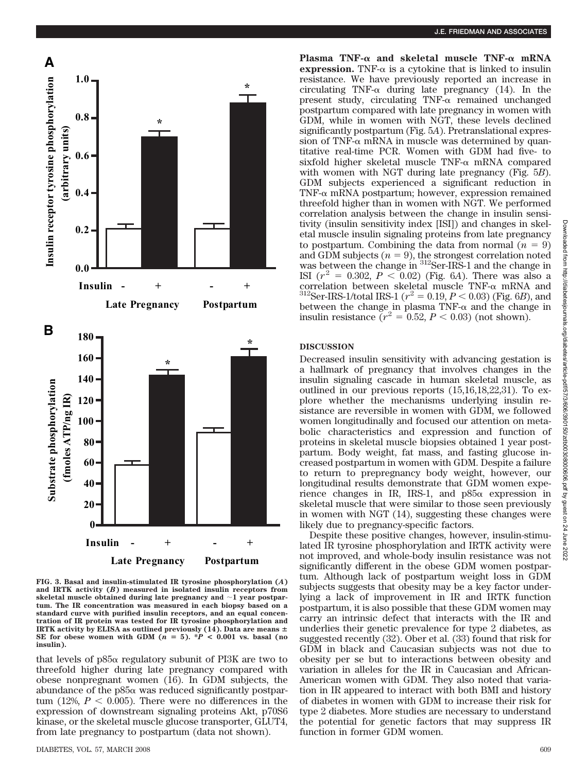

**FIG. 3. Basal and insulin-stimulated IR tyrosine phosphorylation (***A***) and IRTK activity (***B***) measured in isolated insulin receptors from** skeletal muscle obtained during late pregnancy and  $\sim$ 1 year postpar**tum. The IR concentration was measured in each biopsy based on a standard curve with purified insulin receptors, and an equal concentration of IR protein was tested for IR tyrosine phosphorylation and IRTK** activity by ELISA as outlined previously (14). Data are means  $\pm$ SE for obese women with GDM  $(n = 5)$ . \* $P < 0.001$  vs. basal (no **insulin).**

that levels of  $p85\alpha$  regulatory subunit of PI3K are two to threefold higher during late pregnancy compared with obese nonpregnant women (16). In GDM subjects, the abundance of the  $p85\alpha$  was reduced significantly postpartum (12%,  $P < 0.005$ ). There were no differences in the expression of downstream signaling proteins Akt, p70S6 kinase, or the skeletal muscle glucose transporter, GLUT4, from late pregnancy to postpartum (data not shown).

Plasma TNF- $\alpha$  and skeletal muscle TNF- $\alpha$  mRNA **expression.** TNF- $\alpha$  is a cytokine that is linked to insulin resistance. We have previously reported an increase in circulating TNF- $\alpha$  during late pregnancy (14). In the present study, circulating  $TNF-\alpha$  remained unchanged postpartum compared with late pregnancy in women with GDM, while in women with NGT, these levels declined significantly postpartum (Fig. 5*A*). Pretranslational expression of TNF- $\alpha$  mRNA in muscle was determined by quantitative real-time PCR. Women with GDM had five- to sixfold higher skeletal muscle  $TNF-\alpha$  mRNA compared with women with NGT during late pregnancy (Fig. 5*B*). GDM subjects experienced a significant reduction in TNF- $\alpha$  mRNA postpartum; however, expression remained threefold higher than in women with NGT. We performed correlation analysis between the change in insulin sensitivity (insulin sensitivity index [ISI]) and changes in skeletal muscle insulin signaling proteins from late pregnancy to postpartum. Combining the data from normal  $(n = 9)$ and GDM subjects  $(n = 9)$ , the strongest correlation noted was between the change in <sup>312</sup>Ser-IRS-1 and the change in ISI  $(r^2 = 0.302, P < 0.02)$  (Fig. 6*A*). There was also a correlation between skeletal muscle TNF- $\alpha$  mRNA and  $^{312}$ Ser-IRS-1/total IRS-1 ( $r^2 = 0.19, P < 0.03$ ) (Fig. 6*B*), and between the change in plasma TNF- $\alpha$  and the change in insulin resistance  $(r^2 = 0.52, P < 0.03)$  (not shown).

#### **DISCUSSION**

Decreased insulin sensitivity with advancing gestation is a hallmark of pregnancy that involves changes in the insulin signaling cascade in human skeletal muscle, as outlined in our previous reports (15,16,18,22,31). To explore whether the mechanisms underlying insulin resistance are reversible in women with GDM, we followed women longitudinally and focused our attention on metabolic characteristics and expression and function of proteins in skeletal muscle biopsies obtained 1 year postpartum. Body weight, fat mass, and fasting glucose increased postpartum in women with GDM. Despite a failure to return to prepregnancy body weight, however, our longitudinal results demonstrate that GDM women experience changes in IR, IRS-1, and  $p85\alpha$  expression in skeletal muscle that were similar to those seen previously in women with NGT (14), suggesting these changes were likely due to pregnancy-specific factors.

Despite these positive changes, however, insulin-stimulated IR tyrosine phosphorylation and IRTK activity were not improved, and whole-body insulin resistance was not significantly different in the obese GDM women postpartum. Although lack of postpartum weight loss in GDM subjects suggests that obesity may be a key factor underlying a lack of improvement in IR and IRTK function postpartum, it is also possible that these GDM women may carry an intrinsic defect that interacts with the IR and underlies their genetic prevalence for type 2 diabetes, as suggested recently (32). Ober et al. (33) found that risk for GDM in black and Caucasian subjects was not due to obesity per se but to interactions between obesity and variation in alleles for the IR in Caucasian and African-American women with GDM. They also noted that variation in IR appeared to interact with both BMI and history of diabetes in women with GDM to increase their risk for type 2 diabetes. More studies are necessary to understand the potential for genetic factors that may suppress IR function in former GDM women.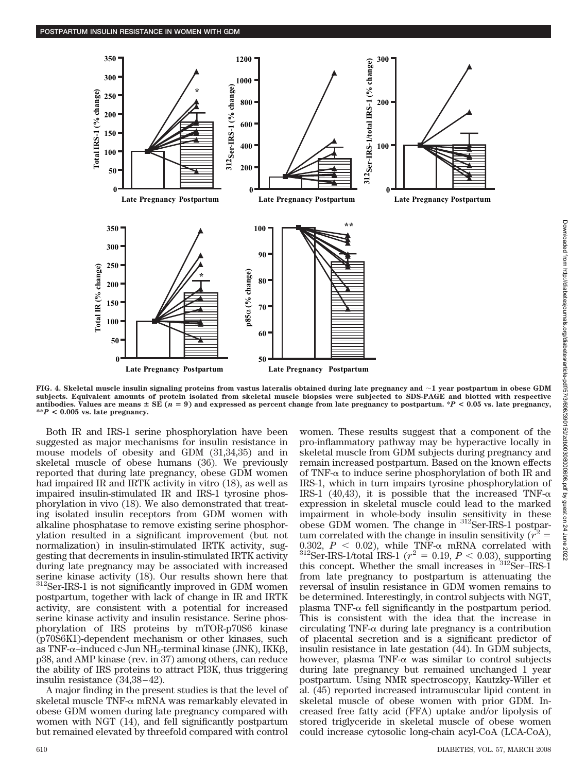

**FIG. 4. Skeletal muscle insulin signaling proteins from vastus lateralis obtained during late pregnancy and 1 year postpartum in obese GDM subjects. Equivalent amounts of protein isolated from skeletal muscle biopsies were subjected to SDS-PAGE and blotted with respective antibodies. Values are means** - **SE (***n* **9) and expressed as percent change from late pregnancy to postpartum. \****P* **< 0.05 vs. late pregnancy, \*\****P* **< 0.005 vs. late pregnancy.**

Both IR and IRS-1 serine phosphorylation have been suggested as major mechanisms for insulin resistance in mouse models of obesity and GDM (31,34,35) and in skeletal muscle of obese humans (36). We previously reported that during late pregnancy, obese GDM women had impaired IR and IRTK activity in vitro (18), as well as impaired insulin-stimulated IR and IRS-1 tyrosine phosphorylation in vivo (18). We also demonstrated that treating isolated insulin receptors from GDM women with alkaline phosphatase to remove existing serine phosphorylation resulted in a significant improvement (but not normalization) in insulin-stimulated IRTK activity, suggesting that decrements in insulin-stimulated IRTK activity during late pregnancy may be associated with increased serine kinase activity (18). Our results shown here that <sup>312</sup>Ser-IRS-1 is not significantly improved in GDM women postpartum, together with lack of change in IR and IRTK activity, are consistent with a potential for increased serine kinase activity and insulin resistance. Serine phosphorylation of IRS proteins by mTOR-p70S6 kinase (p70S6K1)-dependent mechanism or other kinases, such as TNF- $\alpha$ -induced c-Jun NH<sub>2</sub>-terminal kinase (JNK), IKK $\beta$ , p38, and AMP kinase (rev. in 37) among others, can reduce the ability of IRS proteins to attract PI3K, thus triggering insulin resistance (34,38–42).

A major finding in the present studies is that the level of skeletal muscle TNF- $\alpha$  mRNA was remarkably elevated in obese GDM women during late pregnancy compared with women with NGT (14), and fell significantly postpartum but remained elevated by threefold compared with control women. These results suggest that a component of the pro-inflammatory pathway may be hyperactive locally in skeletal muscle from GDM subjects during pregnancy and remain increased postpartum. Based on the known effects of TNF- $\alpha$  to induce serine phosphorylation of both IR and IRS-1, which in turn impairs tyrosine phosphorylation of IRS-1 (40,43), it is possible that the increased TNF- $\alpha$ expression in skeletal muscle could lead to the marked impairment in whole-body insulin sensitivity in these obese GDM women. The change in 312Ser-IRS-1 postpartum correlated with the change in insulin sensitivity  $(r^2)$ 0.302,  $P < 0.02$ ), while TNF- $\alpha$  mRNA correlated with  $^{312}$ Ser-IRS-1/total IRS-1 ( $r^2 = 0.19, P < 0.03$ ), supporting this concept. Whether the small increases in 312Ser–IRS-1 from late pregnancy to postpartum is attenuating the reversal of insulin resistance in GDM women remains to be determined. Interestingly, in control subjects with NGT, plasma TNF- $\alpha$  fell significantly in the postpartum period. This is consistent with the idea that the increase in circulating TNF- $\alpha$  during late pregnancy is a contribution of placental secretion and is a significant predictor of insulin resistance in late gestation (44). In GDM subjects, however, plasma TNF- $\alpha$  was similar to control subjects during late pregnancy but remained unchanged 1 year postpartum. Using NMR spectroscopy, Kautzky-Willer et al. (45) reported increased intramuscular lipid content in skeletal muscle of obese women with prior GDM. Increased free fatty acid (FFA) uptake and/or lipolysis of stored triglyceride in skeletal muscle of obese women could increase cytosolic long-chain acyl-CoA (LCA-CoA),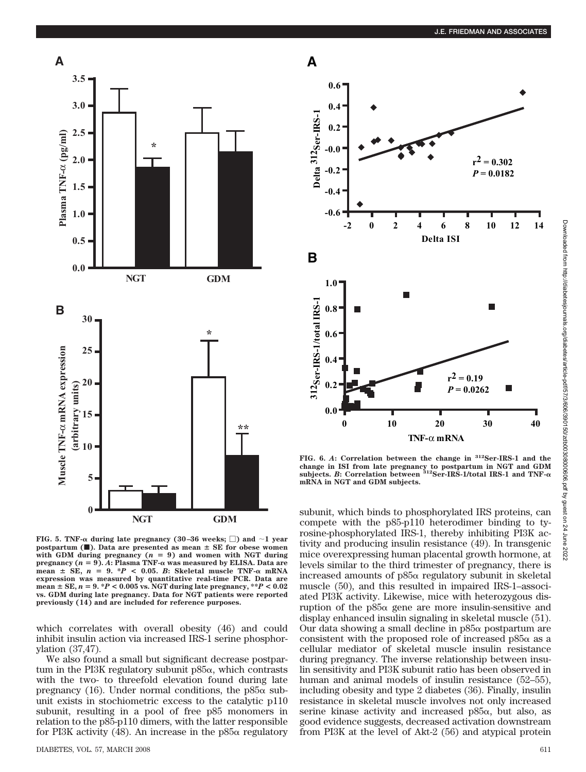

**FIG. 5. TNF-** $\alpha$  **during late pregnancy (30–36 weeks;**  $\Box$ **) and**  $\sim$  **1 year postpartum (** $\blacksquare$ **). Data are presented as mean**  $\pm$  **SE** for obese women with GDM during pregnancy  $(n = 9)$  and women with NGT during **pregnancy**  $(n = 9)$ .  $\vec{A}$ **: Plasma TNF-** $\alpha$  **was measured by ELISA. Data are**  $mean \pm SE$ ,  $n = 9$ . \* $P < 0.05$ . *B*: Skeletal muscle TNF- $\alpha$  mRNA **expression was measured by quantitative real-time PCR. Data are**  $\text{mean} \pm \text{SE}, n = 9. *P < 0.005 \text{ vs. } \text{NGT}$  during late pregnancy,  $**P < 0.02$ **vs. GDM during late pregnancy. Data for NGT patients were reported previously (14) and are included for reference purposes.**

which correlates with overall obesity (46) and could inhibit insulin action via increased IRS-1 serine phosphorylation (37,47).

We also found a small but significant decrease postpartum in the PI3K regulatory subunit  $p85\alpha$ , which contrasts with the two- to threefold elevation found during late pregnancy (16). Under normal conditions, the  $p85\alpha$  subunit exists in stochiometric excess to the catalytic p110 subunit, resulting in a pool of free p85 monomers in relation to the p85-p110 dimers, with the latter responsible for PI3K activity (48). An increase in the  $p85\alpha$  regulatory



**FIG. 6.** *A***: Correlation between the change in 312Ser-IRS-1 and the change in ISI from late pregnancy to postpartum in NGT and GDM subjects.** *B***: Correlation between 312Ser-IRS-1/total IRS-1 and TNF mRNA in NGT and GDM subjects.**

subunit, which binds to phosphorylated IRS proteins, can compete with the p85-p110 heterodimer binding to tyrosine-phosphorylated IRS-1, thereby inhibiting PI3K activity and producing insulin resistance (49). In transgenic mice overexpressing human placental growth hormone, at levels similar to the third trimester of pregnancy, there is increased amounts of  $p85\alpha$  regulatory subunit in skeletal muscle (50), and this resulted in impaired IRS-1–associated PI3K activity. Likewise, mice with heterozygous disruption of the  $p85\alpha$  gene are more insulin-sensitive and display enhanced insulin signaling in skeletal muscle (51). Our data showing a small decline in  $p85\alpha$  postpartum are consistent with the proposed role of increased  $p85\alpha$  as a cellular mediator of skeletal muscle insulin resistance during pregnancy. The inverse relationship between insulin sensitivity and PI3K subunit ratio has been observed in human and animal models of insulin resistance (52–55), including obesity and type 2 diabetes (36). Finally, insulin resistance in skeletal muscle involves not only increased serine kinase activity and increased  $p85\alpha$ , but also, as good evidence suggests, decreased activation downstream from PI3K at the level of Akt-2 (56) and atypical protein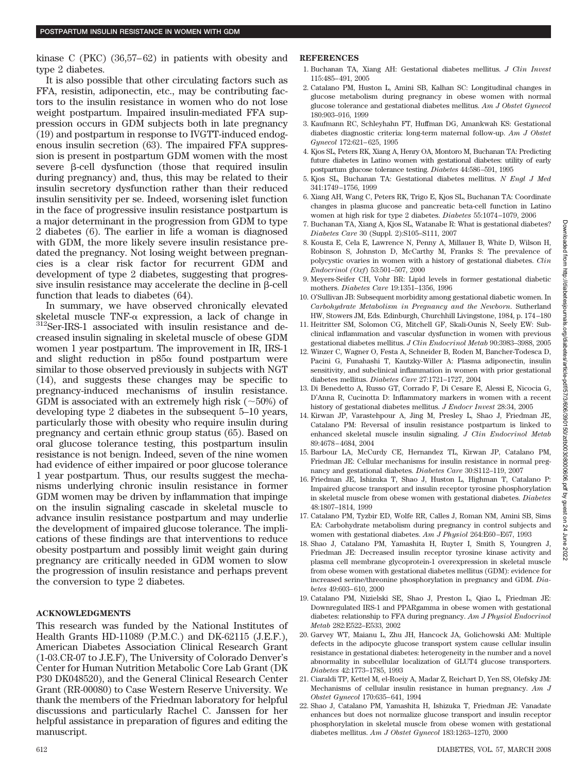kinase C (PKC) (36,57–62) in patients with obesity and type 2 diabetes.

It is also possible that other circulating factors such as FFA, resistin, adiponectin, etc., may be contributing factors to the insulin resistance in women who do not lose weight postpartum. Impaired insulin-mediated FFA suppression occurs in GDM subjects both in late pregnancy (19) and postpartum in response to IVGTT-induced endogenous insulin secretion (63). The impaired FFA suppression is present in postpartum GDM women with the most severe  $\beta$ -cell dysfunction (those that required insulin during pregnancy) and, thus, this may be related to their insulin secretory dysfunction rather than their reduced insulin sensitivity per se. Indeed, worsening islet function in the face of progressive insulin resistance postpartum is a major determinant in the progression from GDM to type 2 diabetes (6). The earlier in life a woman is diagnosed with GDM, the more likely severe insulin resistance predated the pregnancy. Not losing weight between pregnancies is a clear risk factor for recurrent GDM and development of type 2 diabetes, suggesting that progressive insulin resistance may accelerate the decline in  $\beta$ -cell function that leads to diabetes (64).

In summary, we have observed chronically elevated skeletal muscle TNF- $\alpha$  expression, a lack of change in  ${}^{312}$ Ser-IRS-1 associated with insulin resistance and decreased insulin signaling in skeletal muscle of obese GDM women 1 year postpartum. The improvement in IR, IRS-1 and slight reduction in  $p85\alpha$  found postpartum were similar to those observed previously in subjects with NGT (14), and suggests these changes may be specific to pregnancy-induced mechanisms of insulin resistance. GDM is associated with an extremely high risk  $(\sim 50\%)$  of developing type 2 diabetes in the subsequent 5–10 years, particularly those with obesity who require insulin during pregnancy and certain ethnic group status (65). Based on oral glucose tolerance testing, this postpartum insulin resistance is not benign. Indeed, seven of the nine women had evidence of either impaired or poor glucose tolerance 1 year postpartum. Thus, our results suggest the mechanisms underlying chronic insulin resistance in former GDM women may be driven by inflammation that impinge on the insulin signaling cascade in skeletal muscle to advance insulin resistance postpartum and may underlie the development of impaired glucose tolerance. The implications of these findings are that interventions to reduce obesity postpartum and possibly limit weight gain during pregnancy are critically needed in GDM women to slow the progression of insulin resistance and perhaps prevent the conversion to type 2 diabetes.

## **ACKNOWLEDGMENTS**

This research was funded by the National Institutes of Health Grants HD-11089 (P.M.C.) and DK-62115 (J.E.F.), American Diabetes Association Clinical Research Grant (1-03.CR-07 to J.E.F), The University of Colorado Denver's Center for Human Nutrition Metabolic Core Lab Grant (DK P30 DK048520), and the General Clinical Research Center Grant (RR-00080) to Case Western Reserve University. We thank the members of the Friedman laboratory for helpful discussions and particularly Rachel C. Janssen for her helpful assistance in preparation of figures and editing the manuscript.

### **REFERENCES**

- 1. Buchanan TA, Xiang AH: Gestational diabetes mellitus. *J Clin Invest* 115:485–491, 2005
- 2. Catalano PM, Huston L, Amini SB, Kalhan SC: Longitudinal changes in glucose metabolism during pregnancy in obese women with normal glucose tolerance and gestational diabetes mellitus. *Am J Obstet Gynecol* 180:903–916, 1999
- 3. Kaufmann RC, Schleyhahn FT, Huffman DG, Amankwah KS: Gestational diabetes diagnostic criteria: long-term maternal follow-up. *Am J Obstet Gynecol* 172:621–625, 1995
- 4. Kjos SL, Peters RK, Xiang A, Henry OA, Montoro M, Buchanan TA: Predicting future diabetes in Latino women with gestational diabetes: utility of early postpartum glucose tolerance testing. *Diabetes* 44:586–591, 1995
- 5. Kjos SL, Buchanan TA: Gestational diabetes mellitus. *N Engl J Med* 341:1749–1756, 1999
- 6. Xiang AH, Wang C, Peters RK, Trigo E, Kjos SL, Buchanan TA: Coordinate changes in plasma glucose and pancreatic beta-cell function in Latino women at high risk for type 2 diabetes. *Diabetes* 55:1074–1079, 2006
- 7. Buchanan TA, Xiang A, Kjos SL, Watanabe R: What is gestational diabetes? *Diabetes Care* 30 (Suppl. 2):S105–S111, 2007
- 8. Kousta E, Cela E, Lawrence N, Penny A, Millauer B, White D, Wilson H, Robinson S, Johnston D, McCarthy M, Franks S: The prevalence of polycystic ovaries in women with a history of gestational diabetes. *Clin Endocrinol (Oxf*) 53:501–507, 2000
- 9. Meyers-Seifer CH, Vohr BR: Lipid levels in former gestational diabetic mothers. *Diabetes Care* 19:1351–1356, 1996
- 10. O'Sullivan JB: Subsequent morbidity among gestational diabetic women. In *Carbohydrate Metabolism in Pregnancy and the Newborn*. Sutherland HW, Stowers JM, Eds. Edinburgh, Churchhill Livingstone, 1984, p. 174–180
- 11. Heitritter SM, Solomon CG, Mitchell GF, Skali-Ounis N, Seely EW: Subclinical inflammation and vascular dysfunction in women with previous gestational diabetes mellitus. *J Clin Endocrinol Metab* 90:3983–3988, 2005
- 12. Winzer C, Wagner O, Festa A, Schneider B, Roden M, Bancher-Todesca D, Pacini G, Funahashi T, Kautzky-Willer A: Plasma adiponectin, insulin sensitivity, and subclinical inflammation in women with prior gestational diabetes mellitus. *Diabetes Care* 27:1721–1727, 2004
- 13. Di Benedetto A, Russo GT, Corrado F, Di Cesare E, Alessi E, Nicocia G, D'Anna R, Cucinotta D: Inflammatory markers in women with a recent history of gestational diabetes mellitus. *J Endocr Invest* 28:34, 2005
- 14. Kirwan JP, Varastehpour A, Jing M, Presley L, Shao J, Friedman JE, Catalano PM: Reversal of insulin resistance postpartum is linked to enhanced skeletal muscle insulin signaling. *J Clin Endocrinol Metab* 89:4678–4684, 2004
- 15. Barbour LA, McCurdy CE, Hernandez TL, Kirwan JP, Catalano PM, Friedman JE: Cellular mechanisms for insulin resistance in normal pregnancy and gestational diabetes. *Diabetes Care* 30:S112–119, 2007
- 16. Friedman JE, Ishizuka T, Shao J, Huston L, Highman T, Catalano P: Impaired glucose transport and insulin receptor tyrosine phosphorylation in skeletal muscle from obese women with gestational diabetes. *Diabetes* 48:1807–1814, 1999
- 17. Catalano PM, Tyzbir ED, Wolfe RR, Calles J, Roman NM, Amini SB, Sims EA: Carbohydrate metabolism during pregnancy in control subjects and women with gestational diabetes. *Am J Physiol* 264:E60–E67, 1993
- 18. Shao J, Catalano PM, Yamashita H, Ruyter I, Smith S, Youngren J, Friedman JE: Decreased insulin receptor tyrosine kinase activity and plasma cell membrane glycoprotein-1 overexpression in skeletal muscle from obese women with gestational diabetes mellitus (GDM): evidence for increased serine/threonine phosphorylation in pregnancy and GDM. *Diabetes* 49:603–610, 2000
- 19. Catalano PM, Nizielski SE, Shao J, Preston L, Qiao L, Friedman JE: Downregulated IRS-1 and PPARgamma in obese women with gestational diabetes: relationship to FFA during pregnancy. *Am J Physiol Endocrinol Metab* 282:E522–E533, 2002
- 20. Garvey WT, Maianu L, Zhu JH, Hancock JA, Golichowski AM: Multiple defects in the adipocyte glucose transport system cause cellular insulin resistance in gestational diabetes: heterogeneity in the number and a novel abnormality in subcellular localization of GLUT4 glucose transporters. *Diabetes* 42:1773–1785, 1993
- 21. Ciaraldi TP, Kettel M, el-Roeiy A, Madar Z, Reichart D, Yen SS, Olefsky JM: Mechanisms of cellular insulin resistance in human pregnancy. *Am J Obstet Gynecol* 170:635–641, 1994
- 22. Shao J, Catalano PM, Yamashita H, Ishizuka T, Friedman JE: Vanadate enhances but does not normalize glucose transport and insulin receptor phosphorylation in skeletal muscle from obese women with gestational diabetes mellitus. *Am J Obstet Gynecol* 183:1263–1270, 2000